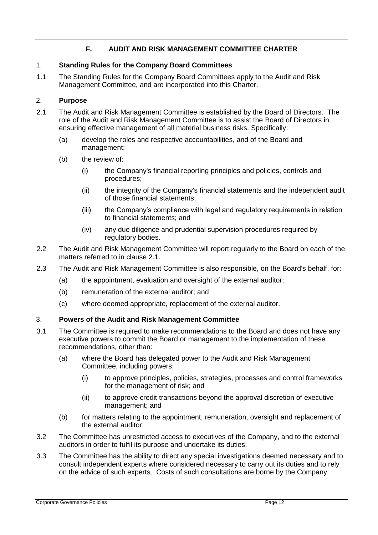# **F. AUDIT AND RISK MANAGEMENT COMMITTEE CHARTER**

## 1. **Standing Rules for the Company Board Committees**

1.1 The Standing Rules for the Company Board Committees apply to the Audit and Risk Management Committee, and are incorporated into this Charter.

# 2. **Purpose**

- 2.1 The Audit and Risk Management Committee is established by the Board of Directors. The role of the Audit and Risk Management Committee is to assist the Board of Directors in ensuring effective management of all material business risks. Specifically:
	- (a) develop the roles and respective accountabilities, and of the Board and management;
	- (b) the review of:
		- (i) the Company's financial reporting principles and policies, controls and procedures;
		- (ii) the integrity of the Company's financial statements and the independent audit of those financial statements;
		- (iii) the Company's compliance with legal and regulatory requirements in relation to financial statements; and
		- (iv) any due diligence and prudential supervision procedures required by regulatory bodies.
- 2.2 The Audit and Risk Management Committee will report regularly to the Board on each of the matters referred to in clause 2.1.
- 2.3 The Audit and Risk Management Committee is also responsible, on the Board's behalf, for:
	- (a) the appointment, evaluation and oversight of the external auditor;
	- (b) remuneration of the external auditor; and
	- (c) where deemed appropriate, replacement of the external auditor.

### 3. **Powers of the Audit and Risk Management Committee**

- 3.1 The Committee is required to make recommendations to the Board and does not have any executive powers to commit the Board or management to the implementation of these recommendations, other than:
	- (a) where the Board has delegated power to the Audit and Risk Management Committee, including powers:
		- (i) to approve principles, policies, strategies, processes and control frameworks for the management of risk; and
		- (ii) to approve credit transactions beyond the approval discretion of executive management; and
	- (b) for matters relating to the appointment, remuneration, oversight and replacement of the external auditor.
- 3.2 The Committee has unrestricted access to executives of the Company, and to the external auditors in order to fulfil its purpose and undertake its duties.
- 3.3 The Committee has the ability to direct any special investigations deemed necessary and to consult independent experts where considered necessary to carry out its duties and to rely on the advice of such experts. Costs of such consultations are borne by the Company.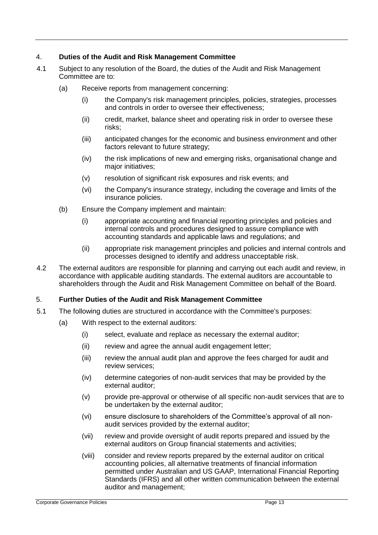## 4. **Duties of the Audit and Risk Management Committee**

- 4.1 Subject to any resolution of the Board, the duties of the Audit and Risk Management Committee are to:
	- (a) Receive reports from management concerning:
		- (i) the Company's risk management principles, policies, strategies, processes and controls in order to oversee their effectiveness;
		- (ii) credit, market, balance sheet and operating risk in order to oversee these risks;
		- (iii) anticipated changes for the economic and business environment and other factors relevant to future strategy;
		- (iv) the risk implications of new and emerging risks, organisational change and major initiatives;
		- (v) resolution of significant risk exposures and risk events; and
		- (vi) the Company's insurance strategy, including the coverage and limits of the insurance policies.
	- (b) Ensure the Company implement and maintain:
		- (i) appropriate accounting and financial reporting principles and policies and internal controls and procedures designed to assure compliance with accounting standards and applicable laws and regulations; and
		- (ii) appropriate risk management principles and policies and internal controls and processes designed to identify and address unacceptable risk.
- 4.2 The external auditors are responsible for planning and carrying out each audit and review, in accordance with applicable auditing standards. The external auditors are accountable to shareholders through the Audit and Risk Management Committee on behalf of the Board.

### 5. **Further Duties of the Audit and Risk Management Committee**

- 5.1 The following duties are structured in accordance with the Committee's purposes:
	- (a) With respect to the external auditors:
		- (i) select, evaluate and replace as necessary the external auditor;
		- (ii) review and agree the annual audit engagement letter;
		- (iii) review the annual audit plan and approve the fees charged for audit and review services;
		- (iv) determine categories of non-audit services that may be provided by the external auditor;
		- (v) provide pre-approval or otherwise of all specific non-audit services that are to be undertaken by the external auditor;
		- (vi) ensure disclosure to shareholders of the Committee's approval of all nonaudit services provided by the external auditor;
		- (vii) review and provide oversight of audit reports prepared and issued by the external auditors on Group financial statements and activities;
		- (viii) consider and review reports prepared by the external auditor on critical accounting policies, all alternative treatments of financial information permitted under Australian and US GAAP, International Financial Reporting Standards (IFRS) and all other written communication between the external auditor and management;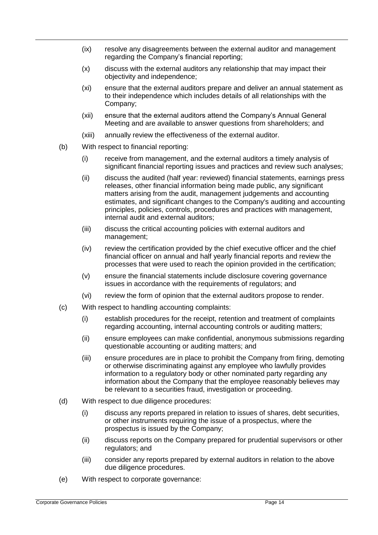- (ix) resolve any disagreements between the external auditor and management regarding the Company's financial reporting;
- (x) discuss with the external auditors any relationship that may impact their objectivity and independence;
- (xi) ensure that the external auditors prepare and deliver an annual statement as to their independence which includes details of all relationships with the Company;
- (xii) ensure that the external auditors attend the Company's Annual General Meeting and are available to answer questions from shareholders; and
- (xiii) annually review the effectiveness of the external auditor.
- (b) With respect to financial reporting:
	- (i) receive from management, and the external auditors a timely analysis of significant financial reporting issues and practices and review such analyses;
	- (ii) discuss the audited (half year: reviewed) financial statements, earnings press releases, other financial information being made public, any significant matters arising from the audit, management judgements and accounting estimates, and significant changes to the Company's auditing and accounting principles, policies, controls, procedures and practices with management, internal audit and external auditors;
	- (iii) discuss the critical accounting policies with external auditors and management;
	- (iv) review the certification provided by the chief executive officer and the chief financial officer on annual and half yearly financial reports and review the processes that were used to reach the opinion provided in the certification;
	- (v) ensure the financial statements include disclosure covering governance issues in accordance with the requirements of regulators; and
	- (vi) review the form of opinion that the external auditors propose to render.
- (c) With respect to handling accounting complaints:
	- (i) establish procedures for the receipt, retention and treatment of complaints regarding accounting, internal accounting controls or auditing matters;
	- (ii) ensure employees can make confidential, anonymous submissions regarding questionable accounting or auditing matters; and
	- (iii) ensure procedures are in place to prohibit the Company from firing, demoting or otherwise discriminating against any employee who lawfully provides information to a regulatory body or other nominated party regarding any information about the Company that the employee reasonably believes may be relevant to a securities fraud, investigation or proceeding.
- (d) With respect to due diligence procedures:
	- (i) discuss any reports prepared in relation to issues of shares, debt securities, or other instruments requiring the issue of a prospectus, where the prospectus is issued by the Company;
	- (ii) discuss reports on the Company prepared for prudential supervisors or other regulators; and
	- (iii) consider any reports prepared by external auditors in relation to the above due diligence procedures.
- (e) With respect to corporate governance: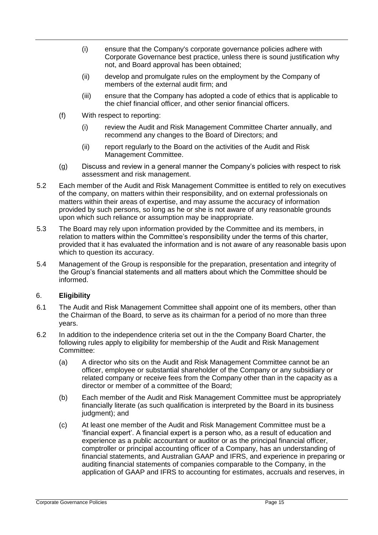- (i) ensure that the Company's corporate governance policies adhere with Corporate Governance best practice, unless there is sound justification why not, and Board approval has been obtained;
- (ii) develop and promulgate rules on the employment by the Company of members of the external audit firm; and
- (iii) ensure that the Company has adopted a code of ethics that is applicable to the chief financial officer, and other senior financial officers.
- (f) With respect to reporting:
	- (i) review the Audit and Risk Management Committee Charter annually, and recommend any changes to the Board of Directors; and
	- (ii) report regularly to the Board on the activities of the Audit and Risk Management Committee.
- (g) Discuss and review in a general manner the Company's policies with respect to risk assessment and risk management.
- 5.2 Each member of the Audit and Risk Management Committee is entitled to rely on executives of the company, on matters within their responsibility, and on external professionals on matters within their areas of expertise, and may assume the accuracy of information provided by such persons, so long as he or she is not aware of any reasonable grounds upon which such reliance or assumption may be inappropriate.
- 5.3 The Board may rely upon information provided by the Committee and its members, in relation to matters within the Committee's responsibility under the terms of this charter, provided that it has evaluated the information and is not aware of any reasonable basis upon which to question its accuracy.
- 5.4 Management of the Group is responsible for the preparation, presentation and integrity of the Group's financial statements and all matters about which the Committee should be informed.

### 6. **Eligibility**

- 6.1 The Audit and Risk Management Committee shall appoint one of its members, other than the Chairman of the Board, to serve as its chairman for a period of no more than three years.
- 6.2 In addition to the independence criteria set out in the the Company Board Charter, the following rules apply to eligibility for membership of the Audit and Risk Management Committee:
	- (a) A director who sits on the Audit and Risk Management Committee cannot be an officer, employee or substantial shareholder of the Company or any subsidiary or related company or receive fees from the Company other than in the capacity as a director or member of a committee of the Board;
	- (b) Each member of the Audit and Risk Management Committee must be appropriately financially literate (as such qualification is interpreted by the Board in its business judgment); and
	- (c) At least one member of the Audit and Risk Management Committee must be a 'financial expert'. A financial expert is a person who, as a result of education and experience as a public accountant or auditor or as the principal financial officer, comptroller or principal accounting officer of a Company, has an understanding of financial statements, and Australian GAAP and IFRS, and experience in preparing or auditing financial statements of companies comparable to the Company, in the application of GAAP and IFRS to accounting for estimates, accruals and reserves, in